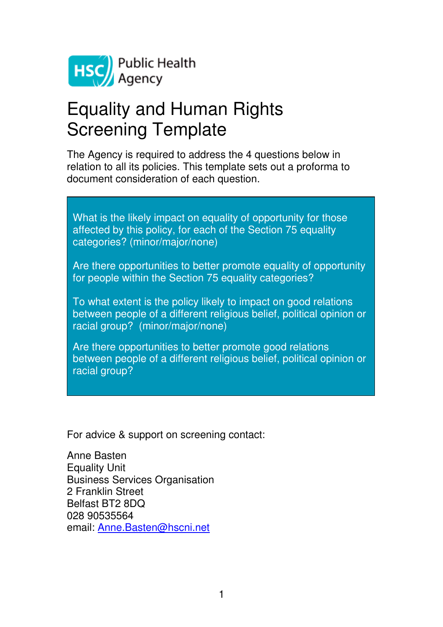

# Equality and Human Rights Screening Template

The Agency is required to address the 4 questions below in relation to all its policies. This template sets out a proforma to document consideration of each question.

What is the likely impact on equality of opportunity for those affected by this policy, for each of the Section 75 equality categories? (minor/major/none)

Are there opportunities to better promote equality of opportunity for people within the Section 75 equality categories?

To what extent is the policy likely to impact on good relations between people of a different religious belief, political opinion or racial group? (minor/major/none)

Are there opportunities to better promote good relations between people of a different religious belief, political opinion or racial group?

For advice & support on screening contact:

Anne Basten Equality Unit Business Services Organisation 2 Franklin Street Belfast BT2 8DQ 028 90535564 email: Anne.Basten@hscni.net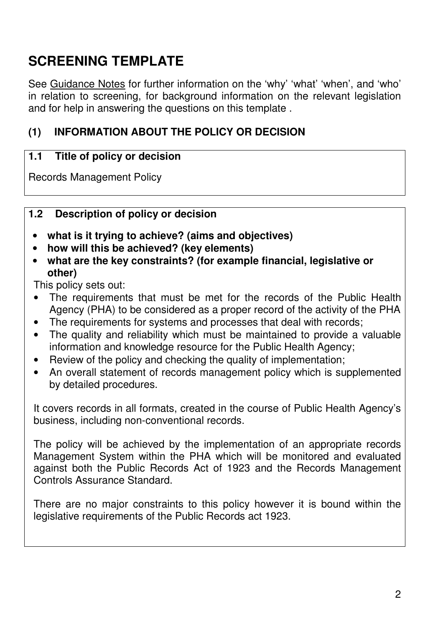# **SCREENING TEMPLATE**

See Guidance Notes for further information on the 'why' 'what' 'when', and 'who' in relation to screening, for background information on the relevant legislation and for help in answering the questions on this template .

# **(1) INFORMATION ABOUT THE POLICY OR DECISION**

#### **1.1 Title of policy or decision**

Records Management Policy

#### **1.2 Description of policy or decision**

- **what is it trying to achieve? (aims and objectives)**
- **how will this be achieved? (key elements)**
- **what are the key constraints? (for example financial, legislative or other)**

This policy sets out:

- The requirements that must be met for the records of the Public Health Agency (PHA) to be considered as a proper record of the activity of the PHA
- The requirements for systems and processes that deal with records;
- The quality and reliability which must be maintained to provide a valuable information and knowledge resource for the Public Health Agency;
- Review of the policy and checking the quality of implementation;
- An overall statement of records management policy which is supplemented by detailed procedures.

It covers records in all formats, created in the course of Public Health Agency's business, including non-conventional records.

The policy will be achieved by the implementation of an appropriate records Management System within the PHA which will be monitored and evaluated against both the Public Records Act of 1923 and the Records Management Controls Assurance Standard.

There are no major constraints to this policy however it is bound within the legislative requirements of the Public Records act 1923.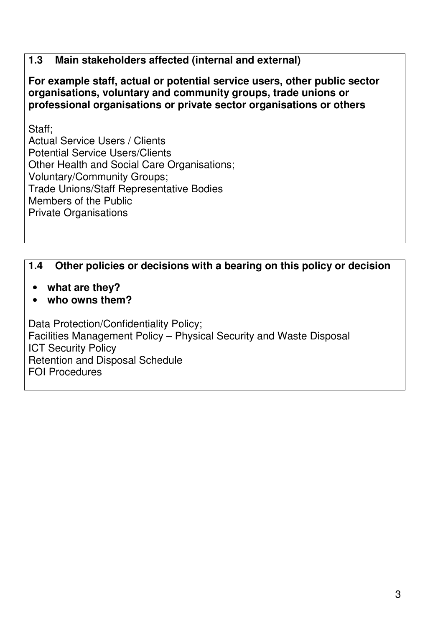#### **1.3 Main stakeholders affected (internal and external)**

**For example staff, actual or potential service users, other public sector organisations, voluntary and community groups, trade unions or professional organisations or private sector organisations or others**

Staff;

Actual Service Users / Clients Potential Service Users/Clients Other Health and Social Care Organisations; Voluntary/Community Groups; Trade Unions/Staff Representative Bodies Members of the Public Private Organisations

#### **1.4 Other policies or decisions with a bearing on this policy or decision**

- **what are they?**
- **who owns them?**

Data Protection/Confidentiality Policy; Facilities Management Policy – Physical Security and Waste Disposal ICT Security Policy Retention and Disposal Schedule FOI Procedures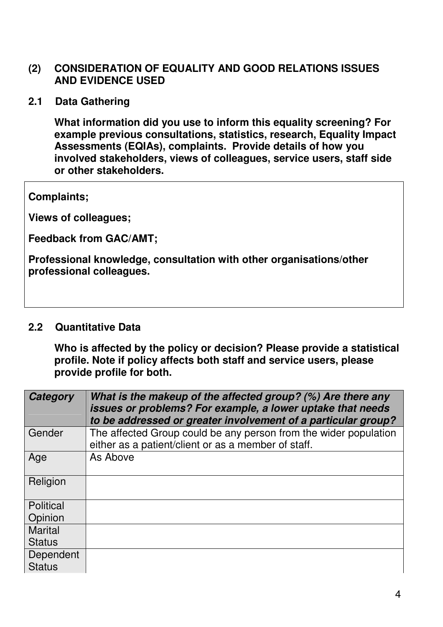#### **(2) CONSIDERATION OF EQUALITY AND GOOD RELATIONS ISSUES AND EVIDENCE USED**

**2.1 Data Gathering** 

**What information did you use to inform this equality screening? For example previous consultations, statistics, research, Equality Impact Assessments (EQIAs), complaints. Provide details of how you involved stakeholders, views of colleagues, service users, staff side or other stakeholders.** 

**Complaints;** 

**Views of colleagues;** 

**Feedback from GAC/AMT;** 

**Professional knowledge, consultation with other organisations/other professional colleagues.** 

#### **2.2 Quantitative Data**

**Who is affected by the policy or decision? Please provide a statistical profile. Note if policy affects both staff and service users, please provide profile for both.** 

| Category       | What is the makeup of the affected group? (%) Are there any<br>issues or problems? For example, a lower uptake that needs<br>to be addressed or greater involvement of a particular group? |
|----------------|--------------------------------------------------------------------------------------------------------------------------------------------------------------------------------------------|
| Gender         | The affected Group could be any person from the wider population<br>either as a patient/client or as a member of staff.                                                                    |
| Age            | As Above                                                                                                                                                                                   |
| Religion       |                                                                                                                                                                                            |
| Political      |                                                                                                                                                                                            |
| Opinion        |                                                                                                                                                                                            |
| <b>Marital</b> |                                                                                                                                                                                            |
| <b>Status</b>  |                                                                                                                                                                                            |
| Dependent      |                                                                                                                                                                                            |
| <b>Status</b>  |                                                                                                                                                                                            |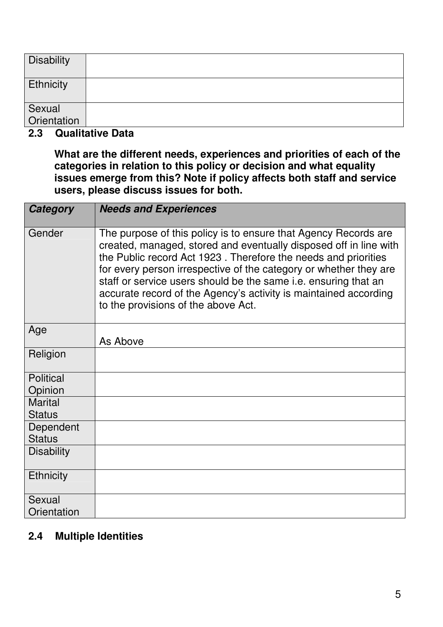| <b>Disability</b>     |  |
|-----------------------|--|
| <b>Ethnicity</b>      |  |
| Sexual<br>Orientation |  |

#### **2.3 Qualitative Data**

**What are the different needs, experiences and priorities of each of the categories in relation to this policy or decision and what equality issues emerge from this? Note if policy affects both staff and service users, please discuss issues for both.** 

| <b>Category</b>            | <b>Needs and Experiences</b>                                                                                                                                                                                                                                                                                                                                                                                                                              |
|----------------------------|-----------------------------------------------------------------------------------------------------------------------------------------------------------------------------------------------------------------------------------------------------------------------------------------------------------------------------------------------------------------------------------------------------------------------------------------------------------|
| Gender                     | The purpose of this policy is to ensure that Agency Records are<br>created, managed, stored and eventually disposed off in line with<br>the Public record Act 1923. Therefore the needs and priorities<br>for every person irrespective of the category or whether they are<br>staff or service users should be the same i.e. ensuring that an<br>accurate record of the Agency's activity is maintained according<br>to the provisions of the above Act. |
| Age                        | As Above                                                                                                                                                                                                                                                                                                                                                                                                                                                  |
| Religion                   |                                                                                                                                                                                                                                                                                                                                                                                                                                                           |
| <b>Political</b>           |                                                                                                                                                                                                                                                                                                                                                                                                                                                           |
| Opinion                    |                                                                                                                                                                                                                                                                                                                                                                                                                                                           |
| <b>Marital</b>             |                                                                                                                                                                                                                                                                                                                                                                                                                                                           |
| <b>Status</b>              |                                                                                                                                                                                                                                                                                                                                                                                                                                                           |
| Dependent<br><b>Status</b> |                                                                                                                                                                                                                                                                                                                                                                                                                                                           |
| <b>Disability</b>          |                                                                                                                                                                                                                                                                                                                                                                                                                                                           |
| <b>Ethnicity</b>           |                                                                                                                                                                                                                                                                                                                                                                                                                                                           |
| Sexual                     |                                                                                                                                                                                                                                                                                                                                                                                                                                                           |
| Orientation                |                                                                                                                                                                                                                                                                                                                                                                                                                                                           |

# **2.4 Multiple Identities**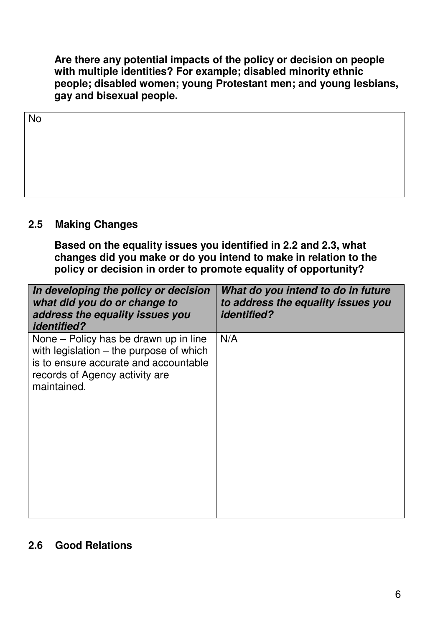**Are there any potential impacts of the policy or decision on people with multiple identities? For example; disabled minority ethnic people; disabled women; young Protestant men; and young lesbians, gay and bisexual people.** 

| No |  |  |
|----|--|--|
|    |  |  |
|    |  |  |
|    |  |  |
|    |  |  |

#### **2.5 Making Changes**

**Based on the equality issues you identified in 2.2 and 2.3, what changes did you make or do you intend to make in relation to the policy or decision in order to promote equality of opportunity?** 

| In developing the policy or decision<br>what did you do or change to<br>address the equality issues you<br><i>identified?</i>                                                | What do you intend to do in future<br>to address the equality issues you<br><i>identified?</i> |
|------------------------------------------------------------------------------------------------------------------------------------------------------------------------------|------------------------------------------------------------------------------------------------|
| None – Policy has be drawn up in line<br>with legislation $-$ the purpose of which<br>is to ensure accurate and accountable<br>records of Agency activity are<br>maintained. | N/A                                                                                            |

#### **2.6 Good Relations**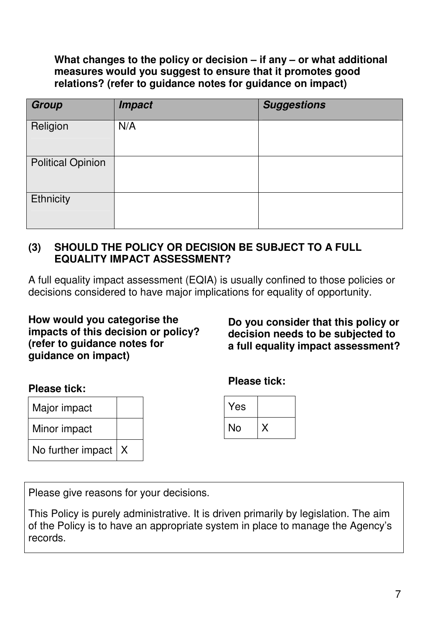#### **What changes to the policy or decision – if any – or what additional measures would you suggest to ensure that it promotes good relations? (refer to guidance notes for guidance on impact)**

| <b>Group</b>             | <b>Impact</b> | <b>Suggestions</b> |
|--------------------------|---------------|--------------------|
| Religion                 | N/A           |                    |
| <b>Political Opinion</b> |               |                    |
| Ethnicity                |               |                    |

#### **(3) SHOULD THE POLICY OR DECISION BE SUBJECT TO A FULL EQUALITY IMPACT ASSESSMENT?**

A full equality impact assessment (EQIA) is usually confined to those policies or decisions considered to have major implications for equality of opportunity.

#### **How would you categorise the impacts of this decision or policy? (refer to guidance notes for guidance on impact)**

**Do you consider that this policy or decision needs to be subjected to a full equality impact assessment?** 

#### **Please tick:**

| Major impact          |  |
|-----------------------|--|
| Minor impact          |  |
| No further impact $X$ |  |

**Please tick:** 

| Yes |  |
|-----|--|
| No  |  |

Please give reasons for your decisions.

This Policy is purely administrative. It is driven primarily by legislation. The aim of the Policy is to have an appropriate system in place to manage the Agency's records.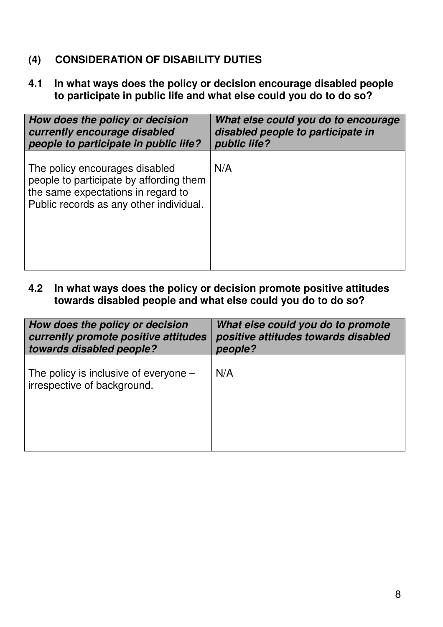# **(4) CONSIDERATION OF DISABILITY DUTIES**

**4.1 In what ways does the policy or decision encourage disabled people to participate in public life and what else could you do to do so?** 

| How does the policy or decision                                                                                                                            | What else could you do to encourage |
|------------------------------------------------------------------------------------------------------------------------------------------------------------|-------------------------------------|
| currently encourage disabled                                                                                                                               | disabled people to participate in   |
| people to participate in public life?                                                                                                                      | public life?                        |
| The policy encourages disabled<br>people to participate by affording them<br>the same expectations in regard to<br>Public records as any other individual. | N/A                                 |

**4.2 In what ways does the policy or decision promote positive attitudes towards disabled people and what else could you do to do so?** 

| How does the policy or decision                                        | What else could you do to promote   |
|------------------------------------------------------------------------|-------------------------------------|
| currently promote positive attitudes                                   | positive attitudes towards disabled |
| towards disabled people?                                               | people?                             |
| The policy is inclusive of everyone $-$<br>irrespective of background. | N/A                                 |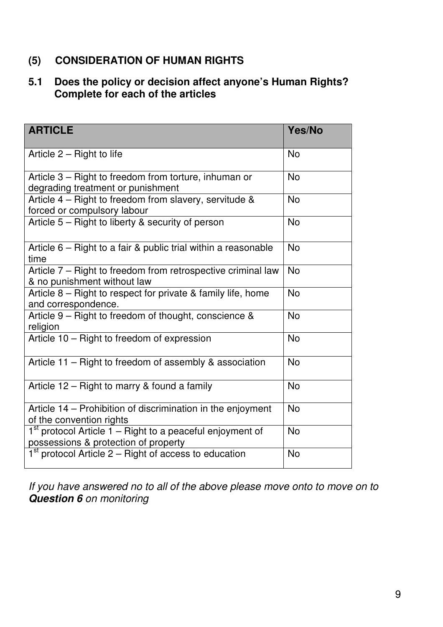# **(5) CONSIDERATION OF HUMAN RIGHTS**

# **5.1 Does the policy or decision affect anyone's Human Rights? Complete for each of the articles**

| <b>ARTICLE</b>                                                                                      | Yes/No    |
|-----------------------------------------------------------------------------------------------------|-----------|
| Article $2 -$ Right to life                                                                         | <b>No</b> |
| Article 3 – Right to freedom from torture, inhuman or<br>degrading treatment or punishment          | <b>No</b> |
| Article 4 - Right to freedom from slavery, servitude &<br>forced or compulsory labour               | <b>No</b> |
| Article 5 – Right to liberty & security of person                                                   | <b>No</b> |
| Article $6$ – Right to a fair & public trial within a reasonable<br>time                            | <b>No</b> |
| Article 7 - Right to freedom from retrospective criminal law<br>& no punishment without law         | <b>No</b> |
| Article $8$ – Right to respect for private & family life, home<br>and correspondence.               | <b>No</b> |
| Article 9 - Right to freedom of thought, conscience &<br>religion                                   | <b>No</b> |
| Article 10 - Right to freedom of expression                                                         | <b>No</b> |
| Article 11 – Right to freedom of assembly & association                                             | <b>No</b> |
| Article 12 – Right to marry & found a family                                                        | <b>No</b> |
| Article 14 – Prohibition of discrimination in the enjoyment<br>of the convention rights             | <b>No</b> |
| $1st$ protocol Article 1 – Right to a peaceful enjoyment of<br>possessions & protection of property | <b>No</b> |
| $1st$ protocol Article 2 – Right of access to education                                             | <b>No</b> |

If you have answered no to all of the above please move onto to move on to **Question 6** on monitoring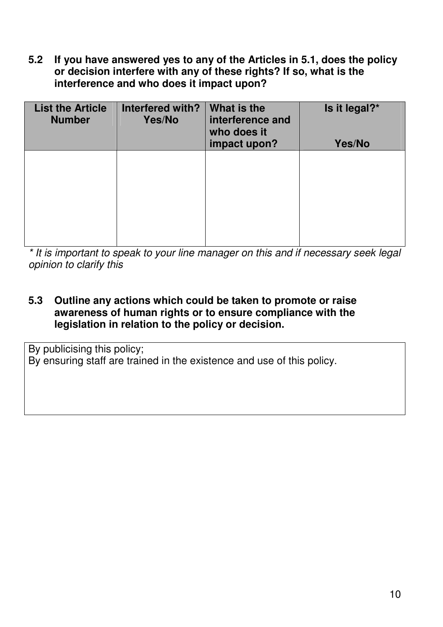**5.2 If you have answered yes to any of the Articles in 5.1, does the policy or decision interfere with any of these rights? If so, what is the interference and who does it impact upon?** 

| <b>List the Article</b><br><b>Number</b> | Interfered with?<br>Yes/No | What is the<br>interference and<br>who does it<br>impact upon? | Is it legal?*<br>Yes/No |
|------------------------------------------|----------------------------|----------------------------------------------------------------|-------------------------|
|                                          |                            |                                                                |                         |
|                                          |                            |                                                                |                         |

\* It is important to speak to your line manager on this and if necessary seek legal opinion to clarify this

**5.3 Outline any actions which could be taken to promote or raise awareness of human rights or to ensure compliance with the legislation in relation to the policy or decision.** 

By publicising this policy; By ensuring staff are trained in the existence and use of this policy.